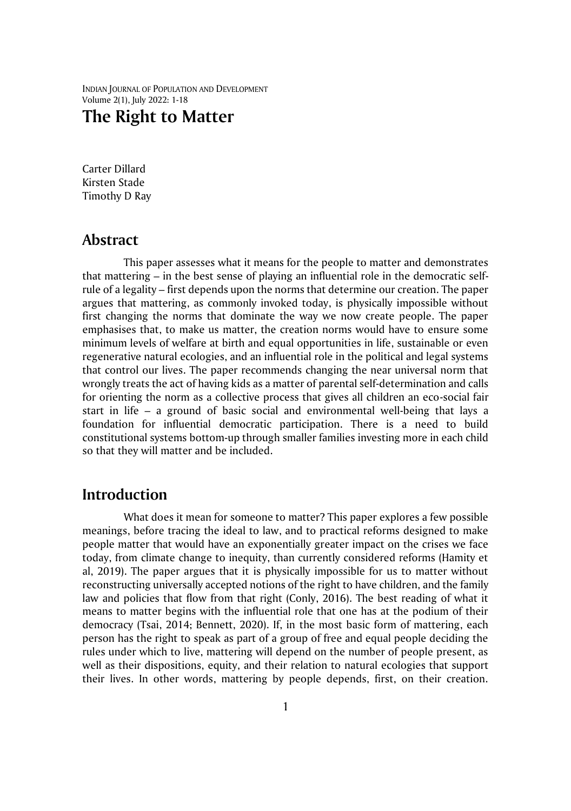INDIAN JOURNAL OF POPULATION AND DEVELOPMENT Volume 2(1), July 2022: 1-18

# **The Right to Matter**

Carter Dillard Kirsten Stade Timothy D Ray

### **Abstract**

This paper assesses what it means for the people to matter and demonstrates that mattering – in the best sense of playing an influential role in the democratic selfrule of a legality – first depends upon the norms that determine our creation. The paper argues that mattering, as commonly invoked today, is physically impossible without first changing the norms that dominate the way we now create people. The paper emphasises that, to make us matter, the creation norms would have to ensure some minimum levels of welfare at birth and equal opportunities in life, sustainable or even regenerative natural ecologies, and an influential role in the political and legal systems that control our lives. The paper recommends changing the near universal norm that wrongly treats the act of having kids as a matter of parental self-determination and calls for orienting the norm as a collective process that gives all children an eco-social fair start in life – a ground of basic social and environmental well-being that lays a foundation for influential democratic participation. There is a need to build constitutional systems bottom-up through smaller families investing more in each child so that they will matter and be included.

## **Introduction**

What does it mean for someone to matter? This paper explores a few possible meanings, before tracing the ideal to law, and to practical reforms designed to make people matter that would have an exponentially greater impact on the crises we face today, from climate change to inequity, than currently considered reforms (Hamity et al, 2019). The paper argues that it is physically impossible for us to matter without reconstructing universally accepted notions of the right to have children, and the family law and policies that flow from that right (Conly, 2016). The best reading of what it means to matter begins with the influential role that one has at the podium of their democracy (Tsai, 2014; Bennett, 2020). If, in the most basic form of mattering, each person has the right to speak as part of a group of free and equal people deciding the rules under which to live, mattering will depend on the number of people present, as well as their dispositions, equity, and their relation to natural ecologies that support their lives. In other words, mattering by people depends, first, on their creation.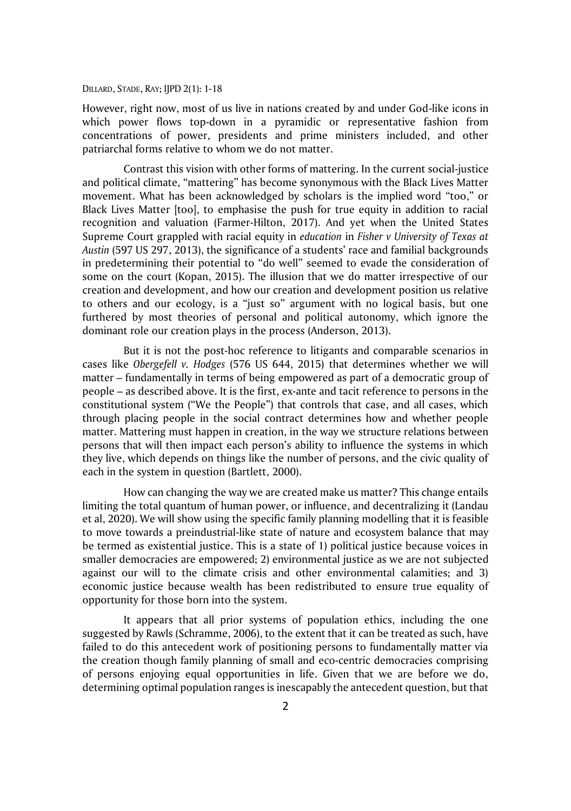However, right now, most of us live in nations created by and under God-like icons in which power flows top-down in a pyramidic or representative fashion from concentrations of power, presidents and prime ministers included, and other patriarchal forms relative to whom we do not matter.

Contrast this vision with other forms of mattering. In the current social-justice and political climate, "mattering" has become synonymous with the Black Lives Matter movement. What has been acknowledged by scholars is the implied word "too," or Black Lives Matter [too], to emphasise the push for true equity in addition to racial recognition and valuation (Farmer-Hilton, 2017). And yet when the United States Supreme Court grappled with racial equity in *education* in *Fisher v University of Texas at Austin* (597 US 297, 2013), the significance of a students' race and familial backgrounds in predetermining their potential to "do well" seemed to evade the consideration of some on the court (Kopan, 2015). The illusion that we do matter irrespective of our creation and development, and how our creation and development position us relative to others and our ecology, is a "just so" argument with no logical basis, but one furthered by most theories of personal and political autonomy, which ignore the dominant role our creation plays in the process (Anderson, 2013).

But it is not the post-hoc reference to litigants and comparable scenarios in cases like *Obergefell v. Hodges* (576 US 644, 2015) that determines whether we will matter – fundamentally in terms of being empowered as part of a democratic group of people – as described above. It is the first, ex-ante and tacit reference to persons in the constitutional system ("We the People") that controls that case, and all cases, which through placing people in the social contract determines how and whether people matter. Mattering must happen in creation, in the way we structure relations between persons that will then impact each person's ability to influence the systems in which they live, which depends on things like the number of persons, and the civic quality of each in the system in question (Bartlett, 2000).

How can changing the way we are created make us matter? This change entails limiting the total quantum of human power, or influence, and decentralizing it (Landau et al, 2020). We will show using the specific family planning modelling that it is feasible to move towards a preindustrial-like state of nature and ecosystem balance that may be termed as existential justice. This is a state of 1) political justice because voices in smaller democracies are empowered; 2) environmental justice as we are not subjected against our will to the climate crisis and other environmental calamities; and 3) economic justice because wealth has been redistributed to ensure true equality of opportunity for those born into the system.

It appears that all prior systems of population ethics, including the one suggested by Rawls (Schramme, 2006), to the extent that it can be treated as such, have failed to do this antecedent work of positioning persons to fundamentally matter via the creation though family planning of small and eco-centric democracies comprising of persons enjoying equal opportunities in life. Given that we are before we do, determining optimal population ranges is inescapably the antecedent question, but that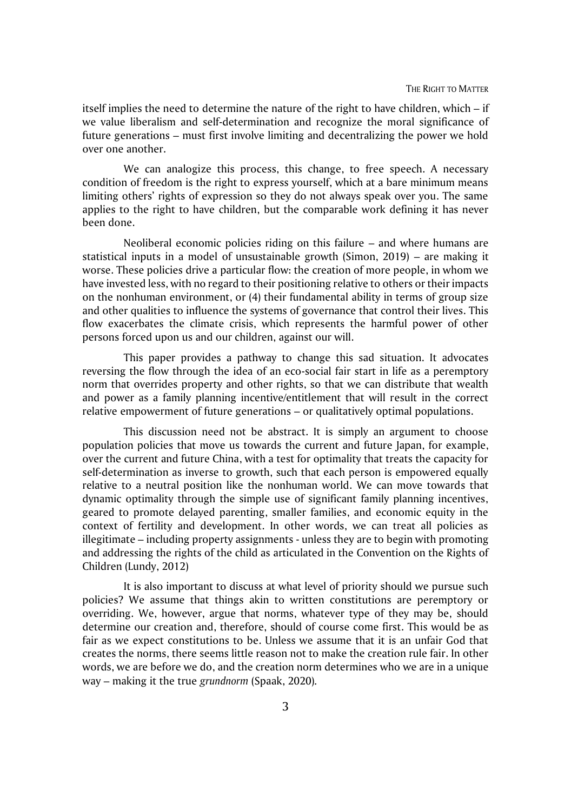itself implies the need to determine the nature of the right to have children, which – if we value liberalism and self-determination and recognize the moral significance of future generations – must first involve limiting and decentralizing the power we hold over one another.

We can analogize this process, this change, to free speech. A necessary condition of freedom is the right to express yourself, which at a bare minimum means limiting others' rights of expression so they do not always speak over you. The same applies to the right to have children, but the comparable work defining it has never been done.

Neoliberal economic policies riding on this failure – and where humans are statistical inputs in a model of unsustainable growth (Simon, 2019) – are making it worse. These policies drive a particular flow: the creation of more people, in whom we have invested less, with no regard to their positioning relative to others or their impacts on the nonhuman environment, or (4) their fundamental ability in terms of group size and other qualities to influence the systems of governance that control their lives. This flow exacerbates the climate crisis, which represents the harmful power of other persons forced upon us and our children, against our will.

This paper provides a pathway to change this sad situation. It advocates reversing the flow through the idea of an eco-social fair start in life as a peremptory norm that overrides property and other rights, so that we can distribute that wealth and power as a family planning incentive/entitlement that will result in the correct relative empowerment of future generations – or qualitatively optimal populations.

This discussion need not be abstract. It is simply an argument to choose population policies that move us towards the current and future Japan, for example, over the current and future China, with a test for optimality that treats the capacity for self-determination as inverse to growth, such that each person is empowered equally relative to a neutral position like the nonhuman world. We can move towards that dynamic optimality through the simple use of significant family planning incentives, geared to promote delayed parenting, smaller families, and economic equity in the context of fertility and development. In other words, we can treat all policies as illegitimate – including property assignments - unless they are to begin with promoting and addressing the rights of the child as articulated in the Convention on the Rights of Children (Lundy, 2012)

It is also important to discuss at what level of priority should we pursue such policies? We assume that things akin to written constitutions are peremptory or overriding. We, however, argue that norms, whatever type of they may be, should determine our creation and, therefore, should of course come first. This would be as fair as we expect constitutions to be. Unless we assume that it is an unfair God that creates the norms, there seems little reason not to make the creation rule fair. In other words, we are before we do, and the creation norm determines who we are in a unique way – making it the true *grundnorm* (Spaak, 2020)*.*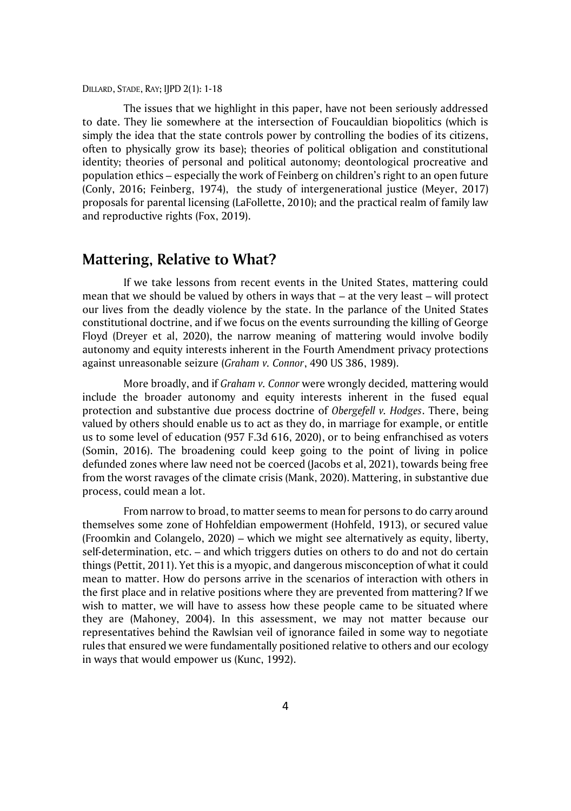The issues that we highlight in this paper, have not been seriously addressed to date. They lie somewhere at the intersection of Foucauldian biopolitics (which is simply the idea that the state controls power by controlling the bodies of its citizens, often to physically grow its base); theories of political obligation and constitutional identity; theories of personal and political autonomy; deontological procreative and population ethics – especially the work of Feinberg on children's right to an open future (Conly, 2016; Feinberg, 1974), the study of intergenerational justice (Meyer, 2017) proposals for parental licensing (LaFollette, 2010); and the practical realm of family law and reproductive rights (Fox, 2019).

## **Mattering, Relative to What?**

If we take lessons from recent events in the United States, mattering could mean that we should be valued by others in ways that – at the very least – will protect our lives from the deadly violence by the state. In the parlance of the United States constitutional doctrine, and if we focus on the events surrounding the killing of George Floyd (Dreyer et al, 2020), the narrow meaning of mattering would involve bodily autonomy and equity interests inherent in the Fourth Amendment privacy protections against unreasonable seizure (*Graham v. Connor*, 490 US 386, 1989).

More broadly, and if *Graham v. Connor* were wrongly decided*,* mattering would include the broader autonomy and equity interests inherent in the fused equal protection and substantive due process doctrine of *Obergefell v. Hodges*. There, being valued by others should enable us to act as they do, in marriage for example, or entitle us to some level of education (957 F.3d 616, 2020), or to being enfranchised as voters (Somin, 2016). The broadening could keep going to the point of living in police defunded zones where law need not be coerced (Jacobs et al, 2021), towards being free from the worst ravages of the climate crisis (Mank, 2020). Mattering, in substantive due process, could mean a lot.

From narrow to broad, to matter seems to mean for persons to do carry around themselves some zone of Hohfeldian empowerment (Hohfeld, 1913), or secured value (Froomkin and Colangelo, 2020) – which we might see alternatively as equity, liberty, self-determination, etc. – and which triggers duties on others to do and not do certain things (Pettit, 2011). Yet this is a myopic, and dangerous misconception of what it could mean to matter. How do persons arrive in the scenarios of interaction with others in the first place and in relative positions where they are prevented from mattering? If we wish to matter, we will have to assess how these people came to be situated where they are (Mahoney, 2004). In this assessment, we may not matter because our representatives behind the Rawlsian veil of ignorance failed in some way to negotiate rules that ensured we were fundamentally positioned relative to others and our ecology in ways that would empower us (Kunc, 1992).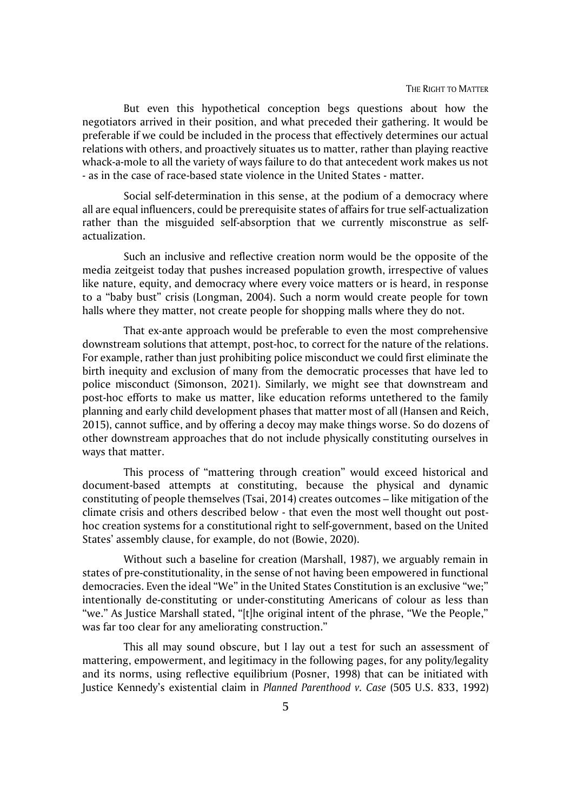But even this hypothetical conception begs questions about how the negotiators arrived in their position, and what preceded their gathering. It would be preferable if we could be included in the process that effectively determines our actual relations with others, and proactively situates us to matter, rather than playing reactive whack-a-mole to all the variety of ways failure to do that antecedent work makes us not - as in the case of race-based state violence in the United States - matter.

Social self-determination in this sense, at the podium of a democracy where all are equal influencers, could be prerequisite states of affairs for true self-actualization rather than the misguided self-absorption that we currently misconstrue as selfactualization.

Such an inclusive and reflective creation norm would be the opposite of the media zeitgeist today that pushes increased population growth, irrespective of values like nature, equity, and democracy where every voice matters or is heard, in response to a "baby bust" crisis (Longman, 2004). Such a norm would create people for town halls where they matter, not create people for shopping malls where they do not.

That ex-ante approach would be preferable to even the most comprehensive downstream solutions that attempt, post-hoc, to correct for the nature of the relations. For example, rather than just prohibiting police misconduct we could first eliminate the birth inequity and exclusion of many from the democratic processes that have led to police misconduct (Simonson, 2021). Similarly, we might see that downstream and post-hoc efforts to make us matter, like education reforms untethered to the family planning and early child development phases that matter most of all (Hansen and Reich, 2015), cannot suffice, and by offering a decoy may make things worse. So do dozens of other downstream approaches that do not include physically constituting ourselves in ways that matter.

This process of "mattering through creation" would exceed historical and document-based attempts at constituting, because the physical and dynamic constituting of people themselves (Tsai, 2014) creates outcomes – like mitigation of the climate crisis and others described below - that even the most well thought out posthoc creation systems for a constitutional right to self-government, based on the United States' assembly clause, for example, do not (Bowie, 2020).

Without such a baseline for creation (Marshall, 1987), we arguably remain in states of pre-constitutionality, in the sense of not having been empowered in functional democracies. Even the ideal "We" in the United States Constitution is an exclusive "we;" intentionally de-constituting or under-constituting Americans of colour as less than "we." As Justice Marshall stated, "[t]he original intent of the phrase, "We the People," was far too clear for any ameliorating construction."

This all may sound obscure, but I lay out a test for such an assessment of mattering, empowerment, and legitimacy in the following pages, for any polity/legality and its norms, using reflective equilibrium (Posner, 1998) that can be initiated with Justice Kennedy's existential claim in *Planned Parenthood v. Case* (505 U.S. 833, 1992)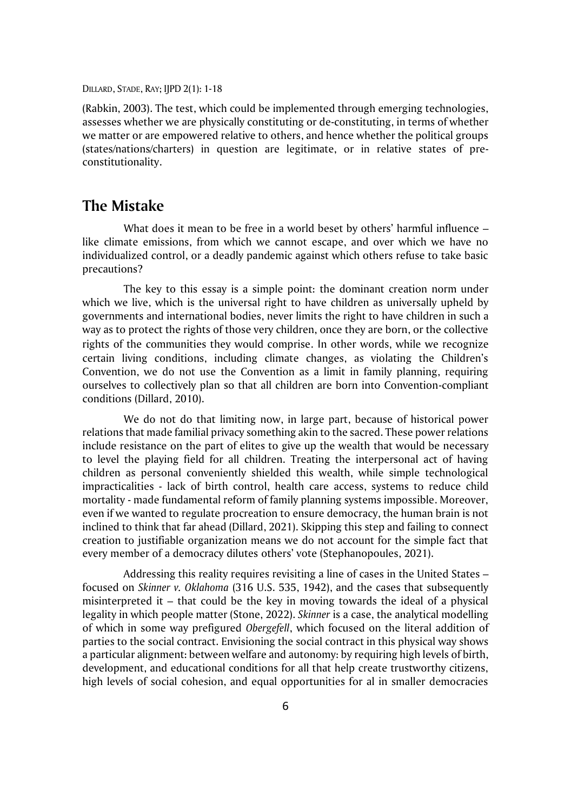(Rabkin, 2003). The test, which could be implemented through emerging technologies, assesses whether we are physically constituting or de-constituting, in terms of whether we matter or are empowered relative to others, and hence whether the political groups (states/nations/charters) in question are legitimate, or in relative states of preconstitutionality.

### **The Mistake**

What does it mean to be free in a world beset by others' harmful influence – like climate emissions, from which we cannot escape, and over which we have no individualized control, or a deadly pandemic against which others refuse to take basic precautions?

The key to this essay is a simple point: the dominant creation norm under which we live, which is the universal right to have children as universally upheld by governments and international bodies, never limits the right to have children in such a way as to protect the rights of those very children, once they are born, or the collective rights of the communities they would comprise. In other words, while we recognize certain living conditions, including climate changes, as violating the Children's Convention, we do not use the Convention as a limit in family planning, requiring ourselves to collectively plan so that all children are born into Convention-compliant conditions (Dillard, 2010).

We do not do that limiting now, in large part, because of historical power relations that made familial privacy something akin to the sacred. These power relations include resistance on the part of elites to give up the wealth that would be necessary to level the playing field for all children. Treating the interpersonal act of having children as personal conveniently shielded this wealth, while simple technological impracticalities - lack of birth control, health care access, systems to reduce child mortality - made fundamental reform of family planning systems impossible. Moreover, even if we wanted to regulate procreation to ensure democracy, the human brain is not inclined to think that far ahead (Dillard, 2021). Skipping this step and failing to connect creation to justifiable organization means we do not account for the simple fact that every member of a democracy dilutes others' vote (Stephanopoules, 2021).

Addressing this reality requires revisiting a line of cases in the United States – focused on *Skinner v. Oklahoma* (316 U.S. 535, 1942), and the cases that subsequently misinterpreted it – that could be the key in moving towards the ideal of a physical legality in which people matter (Stone, 2022). *Skinner* is a case, the analytical modelling of which in some way prefigured *Obergefell*, which focused on the literal addition of parties to the social contract. Envisioning the social contract in this physical way shows a particular alignment: between welfare and autonomy: by requiring high levels of birth, development, and educational conditions for all that help create trustworthy citizens, high levels of social cohesion, and equal opportunities for al in smaller democracies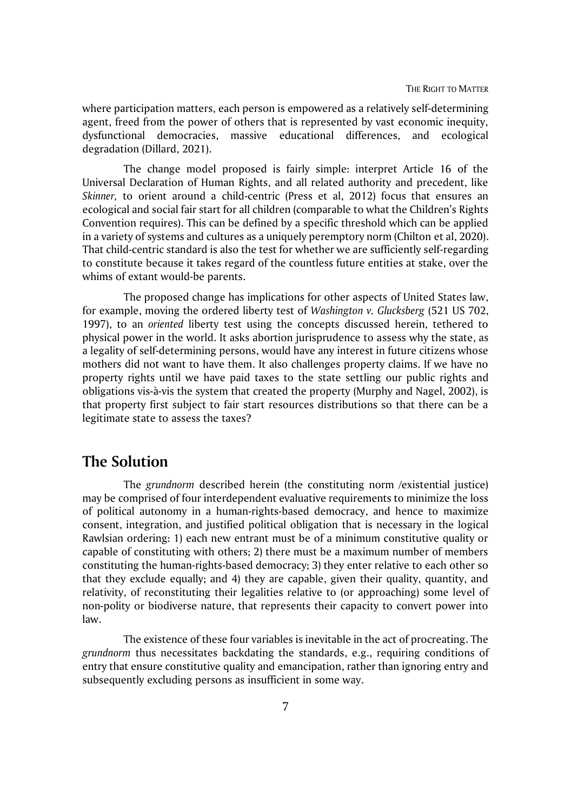where participation matters, each person is empowered as a relatively self-determining agent, freed from the power of others that is represented by vast economic inequity, dysfunctional democracies, massive educational differences, and ecological degradation (Dillard, 2021).

The change model proposed is fairly simple: interpret Article 16 of the Universal Declaration of Human Rights, and all related authority and precedent, like *Skinner,* to orient around a child-centric (Press et al, 2012) focus that ensures an ecological and social fair start for all children (comparable to what the Children's Rights Convention requires). This can be defined by a specific threshold which can be applied in a variety of systems and cultures as a uniquely peremptory norm (Chilton et al, 2020). That child-centric standard is also the test for whether we are sufficiently self-regarding to constitute because it takes regard of the countless future entities at stake, over the whims of extant would-be parents.

The proposed change has implications for other aspects of United States law, for example, moving the ordered liberty test of *Washington v. Glucksberg* (521 US 702, 1997), to an *oriented* liberty test using the concepts discussed herein, tethered to physical power in the world. It asks abortion jurisprudence to assess why the state, as a legality of self-determining persons, would have any interest in future citizens whose mothers did not want to have them. It also challenges property claims. If we have no property rights until we have paid taxes to the state settling our public rights and obligations vis-à-vis the system that created the property (Murphy and Nagel, 2002), is that property first subject to fair start resources distributions so that there can be a legitimate state to assess the taxes?

## **The Solution**

The *grundnorm* described herein (the constituting norm /existential justice) may be comprised of four interdependent evaluative requirements to minimize the loss of political autonomy in a human-rights-based democracy, and hence to maximize consent, integration, and justified political obligation that is necessary in the logical Rawlsian ordering: 1) each new entrant must be of a minimum constitutive quality or capable of constituting with others; 2) there must be a maximum number of members constituting the human-rights-based democracy; 3) they enter relative to each other so that they exclude equally; and 4) they are capable, given their quality, quantity, and relativity, of reconstituting their legalities relative to (or approaching) some level of non-polity or biodiverse nature, that represents their capacity to convert power into law.

The existence of these four variables is inevitable in the act of procreating. The *grundnorm* thus necessitates backdating the standards, e.g., requiring conditions of entry that ensure constitutive quality and emancipation, rather than ignoring entry and subsequently excluding persons as insufficient in some way.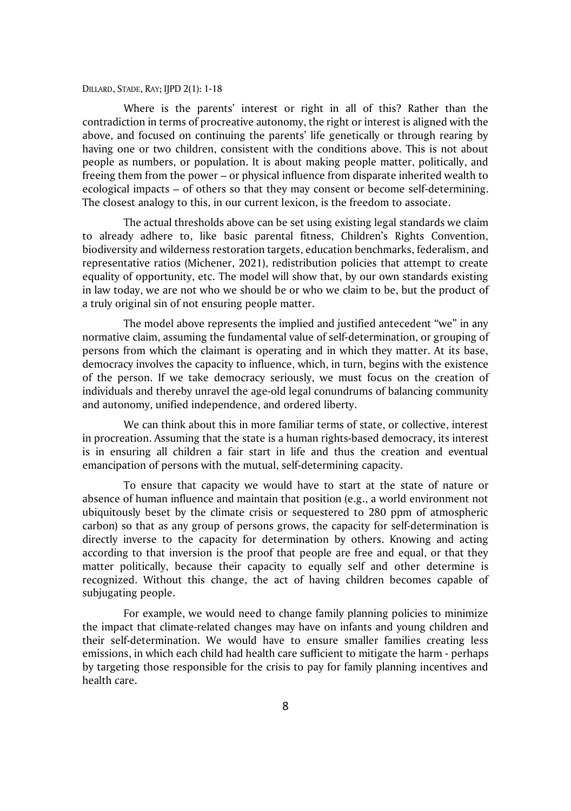Where is the parents' interest or right in all of this? Rather than the contradiction in terms of procreative autonomy, the right or interest is aligned with the above, and focused on continuing the parents' life genetically or through rearing by having one or two children, consistent with the conditions above. This is not about people as numbers, or population. It is about making people matter, politically, and freeing them from the power – or physical influence from disparate inherited wealth to ecological impacts – of others so that they may consent or become self-determining. The closest analogy to this, in our current lexicon, is the freedom to associate.

The actual thresholds above can be set using existing legal standards we claim to already adhere to, like basic parental fitness, Children's Rights Convention, biodiversity and wilderness restoration targets, education benchmarks, federalism, and representative ratios (Michener, 2021), redistribution policies that attempt to create equality of opportunity, etc. The model will show that, by our own standards existing in law today, we are not who we should be or who we claim to be, but the product of a truly original sin of not ensuring people matter.

The model above represents the implied and justified antecedent "we" in any normative claim, assuming the fundamental value of self-determination, or grouping of persons from which the claimant is operating and in which they matter. At its base, democracy involves the capacity to influence, which, in turn, begins with the existence of the person. If we take democracy seriously, we must focus on the creation of individuals and thereby unravel the age-old legal conundrums of balancing community and autonomy, unified independence, and ordered liberty.

We can think about this in more familiar terms of state, or collective, interest in procreation. Assuming that the state is a human rights-based democracy, its interest is in ensuring all children a fair start in life and thus the creation and eventual emancipation of persons with the mutual, self-determining capacity.

To ensure that capacity we would have to start at the state of nature or absence of human influence and maintain that position (e.g., a world environment not ubiquitously beset by the climate crisis or sequestered to 280 ppm of atmospheric carbon) so that as any group of persons grows, the capacity for self-determination is directly inverse to the capacity for determination by others. Knowing and acting according to that inversion is the proof that people are free and equal, or that they matter politically, because their capacity to equally self and other determine is recognized. Without this change, the act of having children becomes capable of subjugating people.

For example, we would need to change family planning policies to minimize the impact that climate-related changes may have on infants and young children and their self-determination. We would have to ensure smaller families creating less emissions, in which each child had health care sufficient to mitigate the harm - perhaps by targeting those responsible for the crisis to pay for family planning incentives and health care.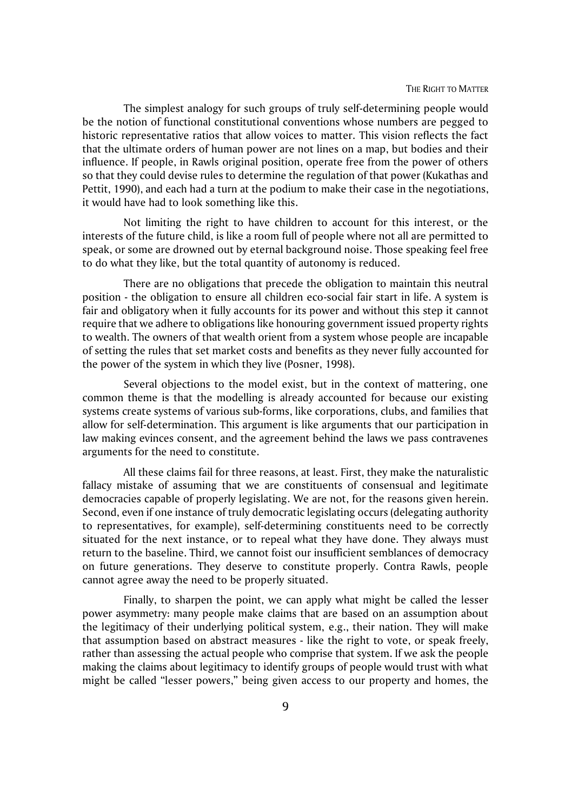The simplest analogy for such groups of truly self-determining people would be the notion of functional constitutional conventions whose numbers are pegged to historic representative ratios that allow voices to matter. This vision reflects the fact that the ultimate orders of human power are not lines on a map, but bodies and their influence. If people, in Rawls original position, operate free from the power of others so that they could devise rules to determine the regulation of that power (Kukathas and Pettit, 1990), and each had a turn at the podium to make their case in the negotiations, it would have had to look something like this.

Not limiting the right to have children to account for this interest, or the interests of the future child, is like a room full of people where not all are permitted to speak, or some are drowned out by eternal background noise. Those speaking feel free to do what they like, but the total quantity of autonomy is reduced.

There are no obligations that precede the obligation to maintain this neutral position - the obligation to ensure all children eco-social fair start in life. A system is fair and obligatory when it fully accounts for its power and without this step it cannot require that we adhere to obligations like honouring government issued property rights to wealth. The owners of that wealth orient from a system whose people are incapable of setting the rules that set market costs and benefits as they never fully accounted for the power of the system in which they live (Posner, 1998).

Several objections to the model exist, but in the context of mattering, one common theme is that the modelling is already accounted for because our existing systems create systems of various sub-forms, like corporations, clubs, and families that allow for self-determination. This argument is like arguments that our participation in law making evinces consent, and the agreement behind the laws we pass contravenes arguments for the need to constitute.

All these claims fail for three reasons, at least. First, they make the naturalistic fallacy mistake of assuming that we are constituents of consensual and legitimate democracies capable of properly legislating. We are not, for the reasons given herein. Second, even if one instance of truly democratic legislating occurs (delegating authority to representatives, for example), self-determining constituents need to be correctly situated for the next instance, or to repeal what they have done. They always must return to the baseline. Third, we cannot foist our insufficient semblances of democracy on future generations. They deserve to constitute properly. Contra Rawls, people cannot agree away the need to be properly situated.

Finally, to sharpen the point, we can apply what might be called the lesser power asymmetry: many people make claims that are based on an assumption about the legitimacy of their underlying political system, e.g., their nation. They will make that assumption based on abstract measures - like the right to vote, or speak freely, rather than assessing the actual people who comprise that system. If we ask the people making the claims about legitimacy to identify groups of people would trust with what might be called "lesser powers," being given access to our property and homes, the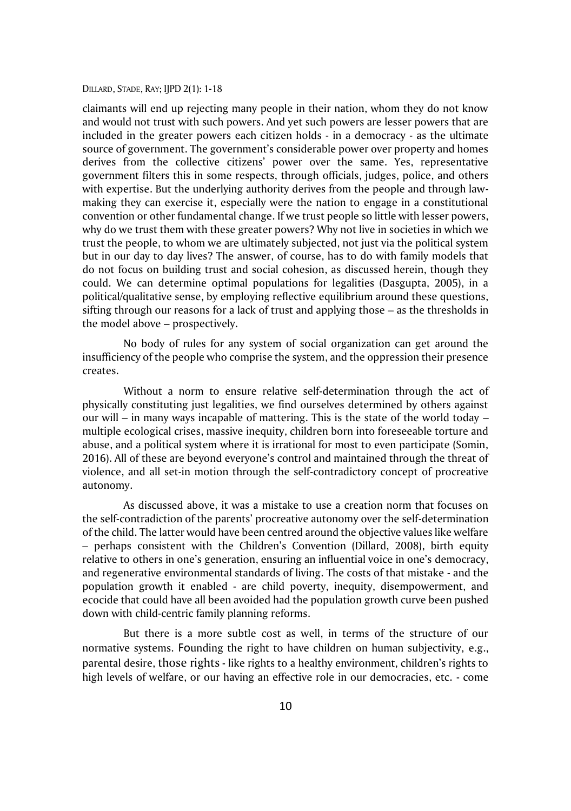claimants will end up rejecting many people in their nation, whom they do not know and would not trust with such powers. And yet such powers are lesser powers that are included in the greater powers each citizen holds - in a democracy - as the ultimate source of government. The government's considerable power over property and homes derives from the collective citizens' power over the same. Yes, representative government filters this in some respects, through officials, judges, police, and others with expertise. But the underlying authority derives from the people and through lawmaking they can exercise it, especially were the nation to engage in a constitutional convention or other fundamental change. If we trust people so little with lesser powers, why do we trust them with these greater powers? Why not live in societies in which we trust the people, to whom we are ultimately subjected, not just via the political system but in our day to day lives? The answer, of course, has to do with family models that do not focus on building trust and social cohesion, as discussed herein, though they could. We can determine optimal populations for legalities (Dasgupta, 2005), in a political/qualitative sense, by employing reflective equilibrium around these questions, sifting through our reasons for a lack of trust and applying those – as the thresholds in the model above – prospectively.

No body of rules for any system of social organization can get around the insufficiency of the people who comprise the system, and the oppression their presence creates.

Without a norm to ensure relative self-determination through the act of physically constituting just legalities, we find ourselves determined by others against our will – in many ways incapable of mattering. This is the state of the world today – multiple ecological crises, massive inequity, children born into foreseeable torture and abuse, and a political system where it is irrational for most to even participate (Somin, 2016). All of these are beyond everyone's control and maintained through the threat of violence, and all set-in motion through the self-contradictory concept of procreative autonomy.

As discussed above, it was a mistake to use a creation norm that focuses on the self-contradiction of the parents' procreative autonomy over the self-determination of the child. The latter would have been centred around the objective values like welfare – perhaps consistent with the Children's Convention (Dillard, 2008), birth equity relative to others in one's generation, ensuring an influential voice in one's democracy, and regenerative environmental standards of living. The costs of that mistake - and the population growth it enabled - are child poverty, inequity, disempowerment, and ecocide that could have all been avoided had the population growth curve been pushed down with child-centric family planning reforms.

But there is a more subtle cost as well, in terms of the structure of our normative systems. Founding the right to have children on human subjectivity, e.g., parental desire, those rights - like rights to a healthy environment, children's rights to high levels of welfare, or our having an effective role in our democracies, etc. - come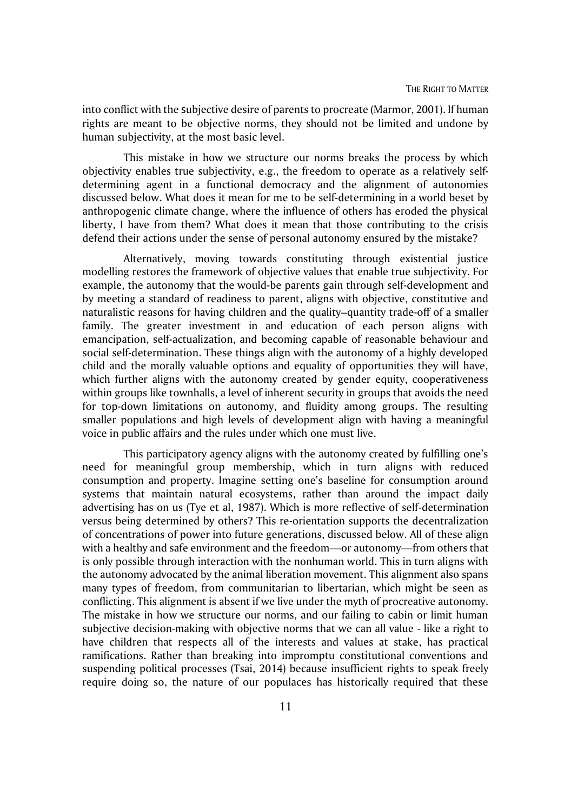into conflict with the subjective desire of parents to procreate (Marmor, 2001). If human rights are meant to be objective norms, they should not be limited and undone by human subjectivity, at the most basic level.

This mistake in how we structure our norms breaks the process by which objectivity enables true subjectivity, e.g., the freedom to operate as a relatively selfdetermining agent in a functional democracy and the alignment of autonomies discussed below. What does it mean for me to be self-determining in a world beset by anthropogenic climate change, where the influence of others has eroded the physical liberty, I have from them? What does it mean that those contributing to the crisis defend their actions under the sense of personal autonomy ensured by the mistake?

Alternatively, moving towards constituting through existential justice modelling restores the framework of objective values that enable true subjectivity. For example, the autonomy that the would-be parents gain through self-development and by meeting a standard of readiness to parent, aligns with objective, constitutive and naturalistic reasons for having children and the quality–quantity trade-off of a smaller family. The greater investment in and education of each person aligns with emancipation, self-actualization, and becoming capable of reasonable behaviour and social self-determination. These things align with the autonomy of a highly developed child and the morally valuable options and equality of opportunities they will have, which further aligns with the autonomy created by gender equity, cooperativeness within groups like townhalls, a level of inherent security in groups that avoids the need for top-down limitations on autonomy, and fluidity among groups. The resulting smaller populations and high levels of development align with having a meaningful voice in public affairs and the rules under which one must live.

This participatory agency aligns with the autonomy created by fulfilling one's need for meaningful group membership, which in turn aligns with reduced consumption and property. Imagine setting one's baseline for consumption around systems that maintain natural ecosystems, rather than around the impact daily advertising has on us (Tye et al, 1987). Which is more reflective of self-determination versus being determined by others? This re-orientation supports the decentralization of concentrations of power into future generations, discussed below. All of these align with a healthy and safe environment and the freedom—or autonomy—from others that is only possible through interaction with the nonhuman world. This in turn aligns with the autonomy advocated by the animal liberation movement. This alignment also spans many types of freedom, from communitarian to libertarian, which might be seen as conflicting. This alignment is absent if we live under the myth of procreative autonomy. The mistake in how we structure our norms, and our failing to cabin or limit human subjective decision-making with objective norms that we can all value - like a right to have children that respects all of the interests and values at stake, has practical ramifications. Rather than breaking into impromptu constitutional conventions and suspending political processes (Tsai, 2014) because insufficient rights to speak freely require doing so, the nature of our populaces has historically required that these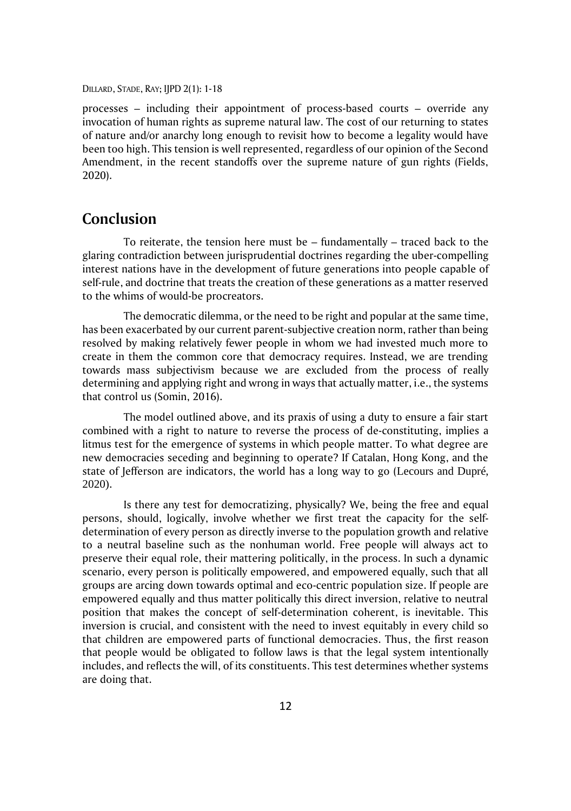processes – including their appointment of process-based courts – override any invocation of human rights as supreme natural law. The cost of our returning to states of nature and/or anarchy long enough to revisit how to become a legality would have been too high. This tension is well represented, regardless of our opinion of the Second Amendment, in the recent standoffs over the supreme nature of gun rights (Fields, 2020).

### **Conclusion**

To reiterate, the tension here must be – fundamentally – traced back to the glaring contradiction between jurisprudential doctrines regarding the uber-compelling interest nations have in the development of future generations into people capable of self-rule, and doctrine that treats the creation of these generations as a matter reserved to the whims of would-be procreators.

The democratic dilemma, or the need to be right and popular at the same time, has been exacerbated by our current parent-subjective creation norm, rather than being resolved by making relatively fewer people in whom we had invested much more to create in them the common core that democracy requires. Instead, we are trending towards mass subjectivism because we are excluded from the process of really determining and applying right and wrong in ways that actually matter, i.e., the systems that control us (Somin, 2016).

The model outlined above, and its praxis of using a duty to ensure a fair start combined with a right to nature to reverse the process of de-constituting, implies a litmus test for the emergence of systems in which people matter. To what degree are new democracies seceding and beginning to operate? If Catalan, Hong Kong, and the state of Jefferson are indicators, the world has a long way to go (Lecours and Dupré, 2020).

Is there any test for democratizing, physically? We, being the free and equal persons, should, logically, involve whether we first treat the capacity for the selfdetermination of every person as directly inverse to the population growth and relative to a neutral baseline such as the nonhuman world. Free people will always act to preserve their equal role, their mattering politically, in the process. In such a dynamic scenario, every person is politically empowered, and empowered equally, such that all groups are arcing down towards optimal and eco-centric population size. If people are empowered equally and thus matter politically this direct inversion, relative to neutral position that makes the concept of self-determination coherent, is inevitable. This inversion is crucial, and consistent with the need to invest equitably in every child so that children are empowered parts of functional democracies. Thus, the first reason that people would be obligated to follow laws is that the legal system intentionally includes, and reflects the will, of its constituents. This test determines whether systems are doing that.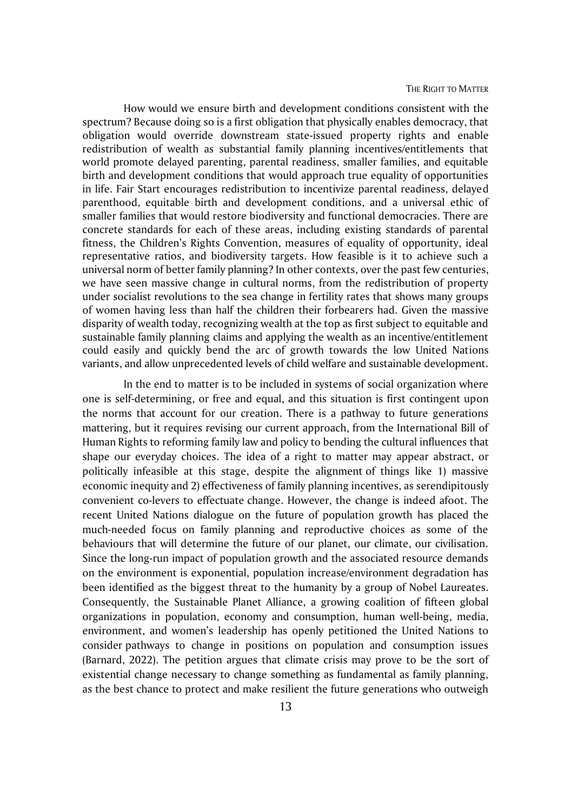How would we ensure birth and development conditions consistent with the spectrum? Because doing so is a first obligation that physically enables democracy, that obligation would override downstream state-issued property rights and enable redistribution of wealth as substantial family planning incentives/entitlements that world promote delayed parenting, parental readiness, smaller families, and equitable birth and development conditions that would approach true equality of opportunities in life. Fair Start encourages redistribution to incentivize parental readiness, delayed parenthood, equitable birth and development conditions, and a universal ethic of smaller families that would restore biodiversity and functional democracies. There are concrete standards for each of these areas, including existing standards of parental fitness, the Children's Rights Convention, measures of equality of opportunity, ideal representative ratios, and biodiversity targets. How feasible is it to achieve such a universal norm of better family planning? In other contexts, over the past few centuries, we have seen massive change in cultural norms, from the redistribution of property under socialist revolutions to the sea change in fertility rates that shows many groups of women having less than half the children their forbearers had. Given the massive disparity of wealth today, recognizing wealth at the top as first subject to equitable and sustainable family planning claims and applying the wealth as an incentive/entitlement could easily and quickly bend the arc of growth towards the low United Nations variants, and allow unprecedented levels of child welfare and sustainable development.

In the end to matter is to be included in systems of social organization where one is self-determining, or free and equal, and this situation is first contingent upon the norms that account for our creation. There is a pathway to future generations mattering, but it requires revising our current approach, from the International Bill of Human Rights to reforming family law and policy to bending the cultural influences that shape our everyday choices. The idea of a right to matter may appear abstract, or politically infeasible at this stage, despite the alignment of things like 1) massive economic inequity and 2) effectiveness of family planning incentives, as serendipitously convenient co-levers to effectuate change. However, the change is indeed afoot. The recent United Nations dialogue on the future of population growth has placed the much-needed focus on family planning and reproductive choices as some of the behaviours that will determine the future of our planet, our climate, our civilisation. Since the long-run impact of population growth and the associated resource demands on the environment is exponential, population increase/environment degradation has been identified as the biggest threat to the humanity by a group of Nobel Laureates. Consequently, the Sustainable Planet Alliance, a growing coalition of fifteen global organizations in population, economy and consumption, human well-being, media, environment, and women's leadership has openly petitioned the United Nations to consider pathways to change in positions on population and consumption issues (Barnard, 2022). The petition argues that climate crisis may prove to be the sort of existential change necessary to change something as fundamental as family planning, as the best chance to protect and make resilient the future generations who outweigh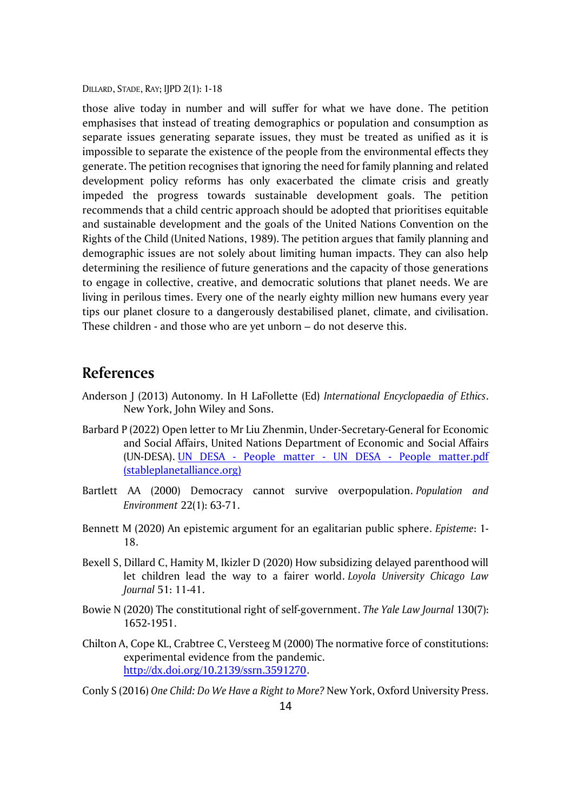those alive today in number and will suffer for what we have done. The petition emphasises that instead of treating demographics or population and consumption as separate issues generating separate issues, they must be treated as unified as it is impossible to separate the existence of the people from the environmental effects they generate. The petition recognises that ignoring the need for family planning and related development policy reforms has only exacerbated the climate crisis and greatly impeded the progress towards sustainable development goals. The petition recommends that a child centric approach should be adopted that prioritises equitable and sustainable development and the goals of the United Nations Convention on the Rights of the Child (United Nations, 1989). The petition argues that family planning and demographic issues are not solely about limiting human impacts. They can also help determining the resilience of future generations and the capacity of those generations to engage in collective, creative, and democratic solutions that planet needs. We are living in perilous times. Every one of the nearly eighty million new humans every year tips our planet closure to a dangerously destabilised planet, climate, and civilisation. These children - and those who are yet unborn – do not deserve this.

## **References**

- Anderson J (2013) Autonomy. In H LaFollette (Ed) *International Encyclopaedia of Ethics*. New York, John Wiley and Sons.
- Barbard P (2022) Open letter to Mr Liu Zhenmin, Under-Secretary-General for Economic and Social Affairs, United Nations Department of Economic and Social Affairs (UN-DESA). UN DESA - People matter - UN DESA - [People matter.pdf](https://nam12.safelinks.protection.outlook.com/?url=https%3A%2F%2Fwww.stableplanetalliance.org%2F_files%2Fugd%2F617966_286f92fddc244e759048c2240faf331a.pdf&data=05%7C01%7C%7Ca0859d09b74c4911066208da4640de8d%7C84df9e7fe9f640afb435aaaaaaaaaaaa%7C1%7C0%7C637899541692689517%7CUnknown%7CTWFpbGZsb3d8eyJWIjoiMC4wLjAwMDAiLCJQIjoiV2luMzIiLCJBTiI6Ik1haWwiLCJXVCI6Mn0%3D%7C3000%7C%7C%7C&sdata=to4gkfXdYLIztBfR77D8OfrDJoMv8GWDuuCG1iTVcf0%3D&reserved=0)  [\(stableplanetalliance.org\)](https://nam12.safelinks.protection.outlook.com/?url=https%3A%2F%2Fwww.stableplanetalliance.org%2F_files%2Fugd%2F617966_286f92fddc244e759048c2240faf331a.pdf&data=05%7C01%7C%7Ca0859d09b74c4911066208da4640de8d%7C84df9e7fe9f640afb435aaaaaaaaaaaa%7C1%7C0%7C637899541692689517%7CUnknown%7CTWFpbGZsb3d8eyJWIjoiMC4wLjAwMDAiLCJQIjoiV2luMzIiLCJBTiI6Ik1haWwiLCJXVCI6Mn0%3D%7C3000%7C%7C%7C&sdata=to4gkfXdYLIztBfR77D8OfrDJoMv8GWDuuCG1iTVcf0%3D&reserved=0)
- Bartlett AA (2000) Democracy cannot survive overpopulation. *Population and Environment* 22(1): 63-71.
- Bennett M (2020) An epistemic argument for an egalitarian public sphere. *Episteme*: 1- 18.
- Bexell S, Dillard C, Hamity M, Ikizler D (2020) How subsidizing delayed parenthood will let children lead the way to a fairer world. *Loyola University Chicago Law Journal* 51: 11-41.
- Bowie N (2020) The constitutional right of self-government. *The Yale Law Journal* 130(7): 1652-1951.
- Chilton A, Cope KL, Crabtree C, Versteeg M (2000) The normative force of constitutions: experimental evidence from the pandemic. [http://dx.doi.org/10.2139/ssrn.3591270.](http://dx.doi.org/10.2139/ssrn.3591270)
- Conly S (2016) *One Child: Do We Have a Right to More?* New York, Oxford University Press.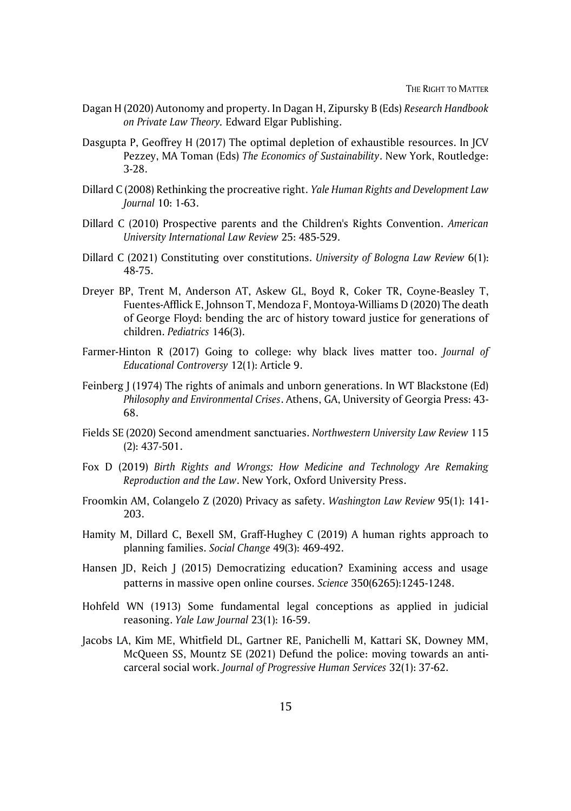- Dagan H (2020) Autonomy and property. In Dagan H, Zipursky B (Eds) *Research Handbook on Private Law Theory.* Edward Elgar Publishing.
- Dasgupta P, Geoffrey H (2017) The optimal depletion of exhaustible resources. In JCV Pezzey, MA Toman (Eds) *The Economics of Sustainability*. New York, Routledge: 3-28.
- Dillard C (2008) Rethinking the procreative right. *Yale Human Rights and Development Law Journal* 10: 1-63.
- Dillard C (2010) Prospective parents and the Children's Rights Convention. *American University International Law Review* 25: 485-529.
- Dillard C (2021) Constituting over constitutions. *University of Bologna Law Review* 6(1): 48-75.
- Dreyer BP, Trent M, Anderson AT, Askew GL, Boyd R, Coker TR, Coyne-Beasley T, Fuentes-Afflick E, Johnson T, Mendoza F, Montoya-Williams D (2020) The death of George Floyd: bending the arc of history toward justice for generations of children. *Pediatrics* 146(3).
- Farmer-Hinton R (2017) Going to college: why black lives matter too. *Journal of Educational Controversy* 12(1): Article 9.
- Feinberg J (1974) The rights of animals and unborn generations. In WT Blackstone (Ed) *Philosophy and Environmental Crises*. Athens, GA, University of Georgia Press: 43- 68.
- Fields SE (2020) Second amendment sanctuaries. *Northwestern University Law Review* 115 (2): 437-501.
- Fox D (2019) *Birth Rights and Wrongs: How Medicine and Technology Are Remaking Reproduction and the Law*. New York, Oxford University Press.
- Froomkin AM, Colangelo Z (2020) Privacy as safety. *Washington Law Review* 95(1): 141- 203.
- Hamity M, Dillard C, Bexell SM, Graff-Hughey C (2019) A human rights approach to planning families. *Social Change* 49(3): 469-492.
- Hansen JD, Reich J (2015) Democratizing education? Examining access and usage patterns in massive open online courses. *Science* 350(6265):1245-1248.
- Hohfeld WN (1913) Some fundamental legal conceptions as applied in judicial reasoning. *Yale Law Journal* 23(1): 16-59.
- Jacobs LA, Kim ME, Whitfield DL, Gartner RE, Panichelli M, Kattari SK, Downey MM, McQueen SS, Mountz SE (2021) Defund the police: moving towards an anticarceral social work. *Journal of Progressive Human Services* 32(1): 37-62.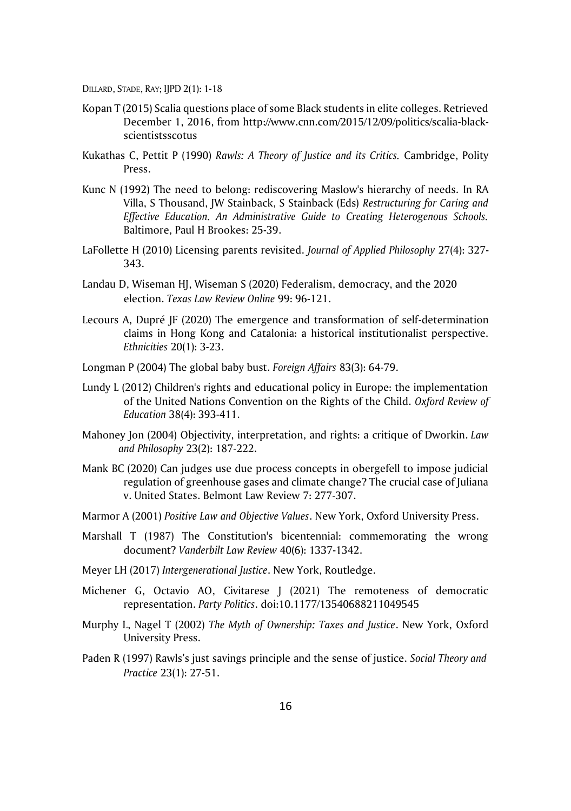- Kopan T (2015) Scalia questions place of some Black students in elite colleges. Retrieved December 1, 2016, from [http://www.cnn.com/2015/12/09/politics/scalia-black](http://www.cnn.com/2015/12/09/politics/scalia-black-scientistsscotus)[scientistsscotus](http://www.cnn.com/2015/12/09/politics/scalia-black-scientistsscotus)
- Kukathas C, Pettit P (1990) *Rawls: A Theory of Justice and its Critics.* Cambridge, Polity Pres[s.](http://www.cnn.com/2015/12/09/politics/scalia-black-scientistsscotus)
- Kunc N (1992) The need to belong: rediscovering Maslow's hierarchy of needs. In RA Villa, S Thousand, JW Stainback, S Stainback (Eds) *Restructuring for Caring and Effective Education. An Administrative Guide to Creating Heterogenous Schools.* Baltimore, Paul H Brookes: 25-39.
- LaFollette H (2010) Licensing parents revisited. *Journal of Applied Philosophy* 27(4): 327- 343.
- Landau D, Wiseman HJ, Wiseman S (2020) Federalism, democracy, and the 2020 election. *Texas Law Review Online* 99: 96-121.
- Lecours A, Dupré JF (2020) The emergence and transformation of self-determination claims in Hong Kong and Catalonia: a historical institutionalist perspective. *Ethnicities* 20(1): 3-23.
- Longman P (2004) The global baby bust. *Foreign Affairs* 83(3): 64-79.
- Lundy L (2012) Children's rights and educational policy in Europe: the implementation of the United Nations Convention on the Rights of the Child. *Oxford Review of Education* 38(4): 393-411.
- Mahoney Jon (2004) Objectivity, interpretation, and rights: a critique of Dworkin. *Law and Philosophy* 23(2): 187-222.
- Mank BC (2020) Can judges use due process concepts in obergefell to impose judicial regulation of greenhouse gases and climate change? The crucial case of Juliana v. United States. Belmont Law Review 7: 277-307.
- Marmor A (2001) *Positive Law and Objective Values*. New York, Oxford University Press.
- Marshall T (1987) The Constitution's bicentennial: commemorating the wrong document? *Vanderbilt Law Review* 40(6): 1337-1342.
- Meyer LH (2017) *Intergenerational Justice*. New York, Routledge.
- Michener G, Octavio AO, Civitarese J (2021) The remoteness of democratic representation. *Party Politics*. doi:10.1177/13540688211049545
- Murphy L, Nagel T (2002) *The Myth of Ownership: Taxes and Justice*. New York, Oxford University Press.
- Paden R (1997) Rawls's just savings principle and the sense of justice. *Social Theory and Practice* 23(1): 27-51.